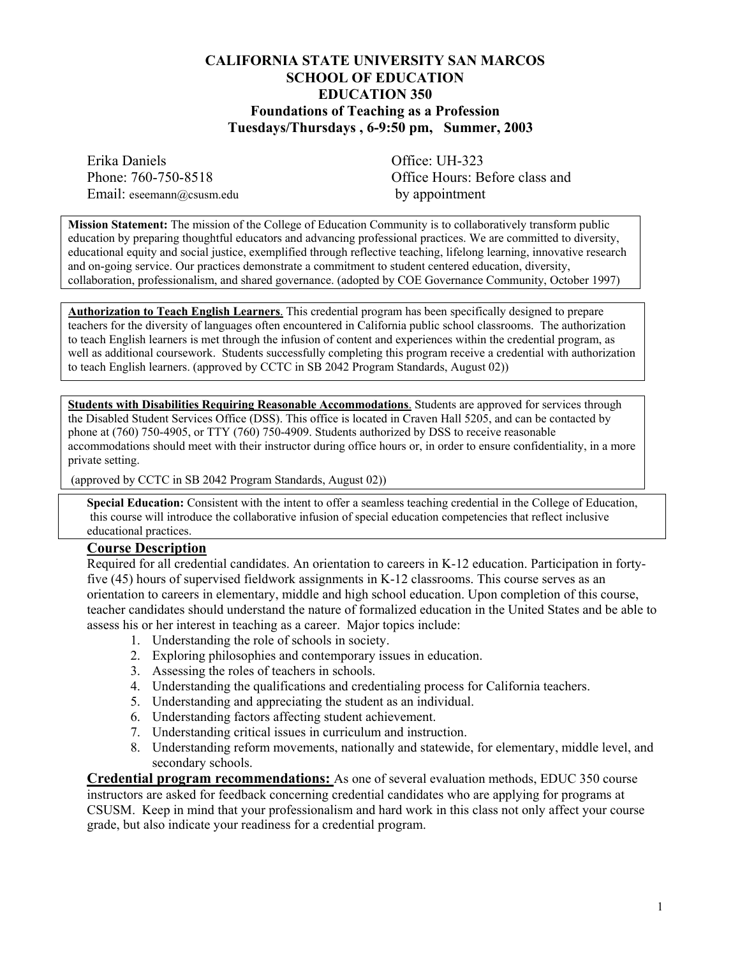### **CALIFORNIA STATE UNIVERSITY SAN MARCOS SCHOOL OF EDUCATION EDUCATION 350 Foundations of Teaching as a Profession Tuesdays/Thursdays , 6-9:50 pm, Summer, 2003**

Erika Daniels Office: UH-323 Email: eseemann@csusm.edu by appointment

Phone: 760-750-8518 **Office Hours: Before class and** 

**Mission Statement:** The mission of the College of Education Community is to collaboratively transform public education by preparing thoughtful educators and advancing professional practices. We are committed to diversity, educational equity and social justice, exemplified through reflective teaching, lifelong learning, innovative research and on-going service. Our practices demonstrate a commitment to student centered education, diversity, collaboration, professionalism, and shared governance. (adopted by COE Governance Community, October 1997)

**Authorization to Teach English Learners**. This credential program has been specifically designed to prepare teachers for the diversity of languages often encountered in California public school classrooms. The authorization to teach English learners is met through the infusion of content and experiences within the credential program, as well as additional coursework. Students successfully completing this program receive a credential with authorization to teach English learners. (approved by CCTC in SB 2042 Program Standards, August 02))

**Students with Disabilities Requiring Reasonable Accommodations**. Students are approved for services through the Disabled Student Services Office (DSS). This office is located in Craven Hall 5205, and can be contacted by phone at (760) 750-4905, or TTY (760) 750-4909. Students authorized by DSS to receive reasonable accommodations should meet with their instructor during office hours or, in order to ensure confidentiality, in a more private setting.

(approved by CCTC in SB 2042 Program Standards, August 02))

**Special Education:** Consistent with the intent to offer a seamless teaching credential in the College of Education, this course will introduce the collaborative infusion of special education competencies that reflect inclusive educational practices.

#### **Course Description**

Required for all credential candidates. An orientation to careers in K-12 education. Participation in fortyfive (45) hours of supervised fieldwork assignments in K-12 classrooms. This course serves as an orientation to careers in elementary, middle and high school education. Upon completion of this course, teacher candidates should understand the nature of formalized education in the United States and be able to assess his or her interest in teaching as a career. Major topics include:

- 1. Understanding the role of schools in society.
- 2. Exploring philosophies and contemporary issues in education.
- 3. Assessing the roles of teachers in schools.
- 4. Understanding the qualifications and credentialing process for California teachers.
- 5. Understanding and appreciating the student as an individual.
- 6. Understanding factors affecting student achievement.
- 7. Understanding critical issues in curriculum and instruction.
- 8. Understanding reform movements, nationally and statewide, for elementary, middle level, and secondary schools.

**Credential program recommendations:** As one of several evaluation methods, EDUC 350 course instructors are asked for feedback concerning credential candidates who are applying for programs at CSUSM. Keep in mind that your professionalism and hard work in this class not only affect your course grade, but also indicate your readiness for a credential program.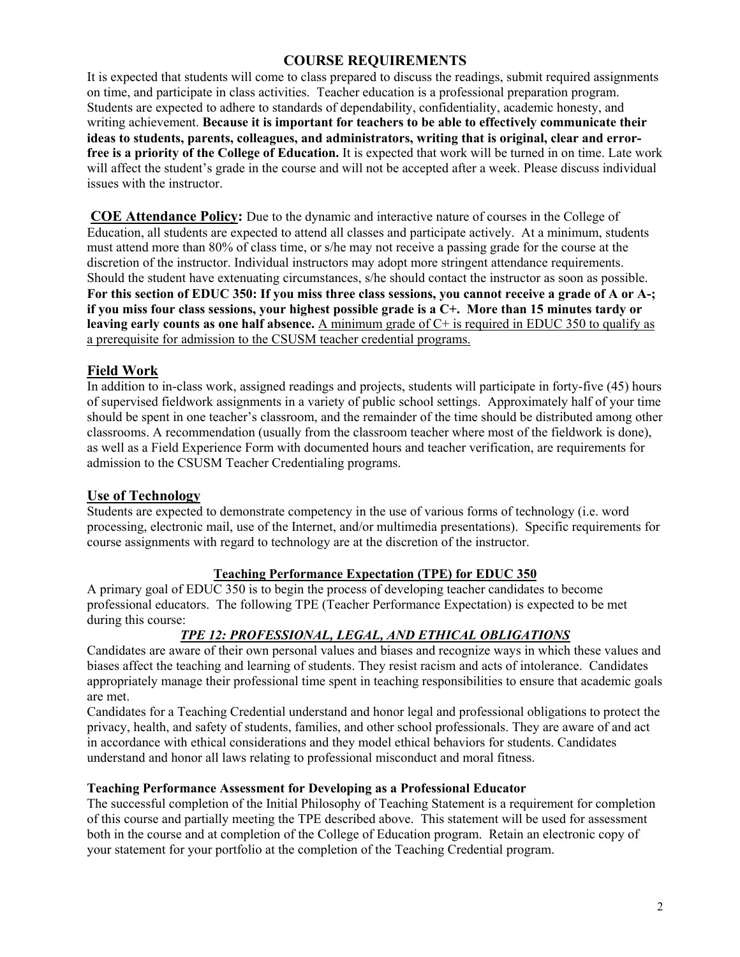## **COURSE REQUIREMENTS**

It is expected that students will come to class prepared to discuss the readings, submit required assignments on time, and participate in class activities. Teacher education is a professional preparation program. Students are expected to adhere to standards of dependability, confidentiality, academic honesty, and writing achievement. **Because it is important for teachers to be able to effectively communicate their ideas to students, parents, colleagues, and administrators, writing that is original, clear and errorfree is a priority of the College of Education.** It is expected that work will be turned in on time. Late work will affect the student's grade in the course and will not be accepted after a week. Please discuss individual issues with the instructor.

**COE Attendance Policy:** Due to the dynamic and interactive nature of courses in the College of Education, all students are expected to attend all classes and participate actively. At a minimum, students must attend more than 80% of class time, or s/he may not receive a passing grade for the course at the discretion of the instructor. Individual instructors may adopt more stringent attendance requirements. Should the student have extenuating circumstances, s/he should contact the instructor as soon as possible. **For this section of EDUC 350: If you miss three class sessions, you cannot receive a grade of A or A-; if you miss four class sessions, your highest possible grade is a C+. More than 15 minutes tardy or leaving early counts as one half absence.** A minimum grade of C+ is required in EDUC 350 to qualify as a prerequisite for admission to the CSUSM teacher credential programs.

## **Field Work**

In addition to in-class work, assigned readings and projects, students will participate in forty-five (45) hours of supervised fieldwork assignments in a variety of public school settings. Approximately half of your time should be spent in one teacher's classroom, and the remainder of the time should be distributed among other classrooms. A recommendation (usually from the classroom teacher where most of the fieldwork is done), as well as a Field Experience Form with documented hours and teacher verification, are requirements for admission to the CSUSM Teacher Credentialing programs.

## **Use of Technology**

Students are expected to demonstrate competency in the use of various forms of technology (i.e. word processing, electronic mail, use of the Internet, and/or multimedia presentations). Specific requirements for course assignments with regard to technology are at the discretion of the instructor.

## **Teaching Performance Expectation (TPE) for EDUC 350**

A primary goal of EDUC 350 is to begin the process of developing teacher candidates to become professional educators. The following TPE (Teacher Performance Expectation) is expected to be met during this course:

## *TPE 12: PROFESSIONAL, LEGAL, AND ETHICAL OBLIGATIONS*

Candidates are aware of their own personal values and biases and recognize ways in which these values and biases affect the teaching and learning of students. They resist racism and acts of intolerance. Candidates appropriately manage their professional time spent in teaching responsibilities to ensure that academic goals are met.

Candidates for a Teaching Credential understand and honor legal and professional obligations to protect the privacy, health, and safety of students, families, and other school professionals. They are aware of and act in accordance with ethical considerations and they model ethical behaviors for students. Candidates understand and honor all laws relating to professional misconduct and moral fitness.

#### **Teaching Performance Assessment for Developing as a Professional Educator**

The successful completion of the Initial Philosophy of Teaching Statement is a requirement for completion of this course and partially meeting the TPE described above. This statement will be used for assessment both in the course and at completion of the College of Education program. Retain an electronic copy of your statement for your portfolio at the completion of the Teaching Credential program.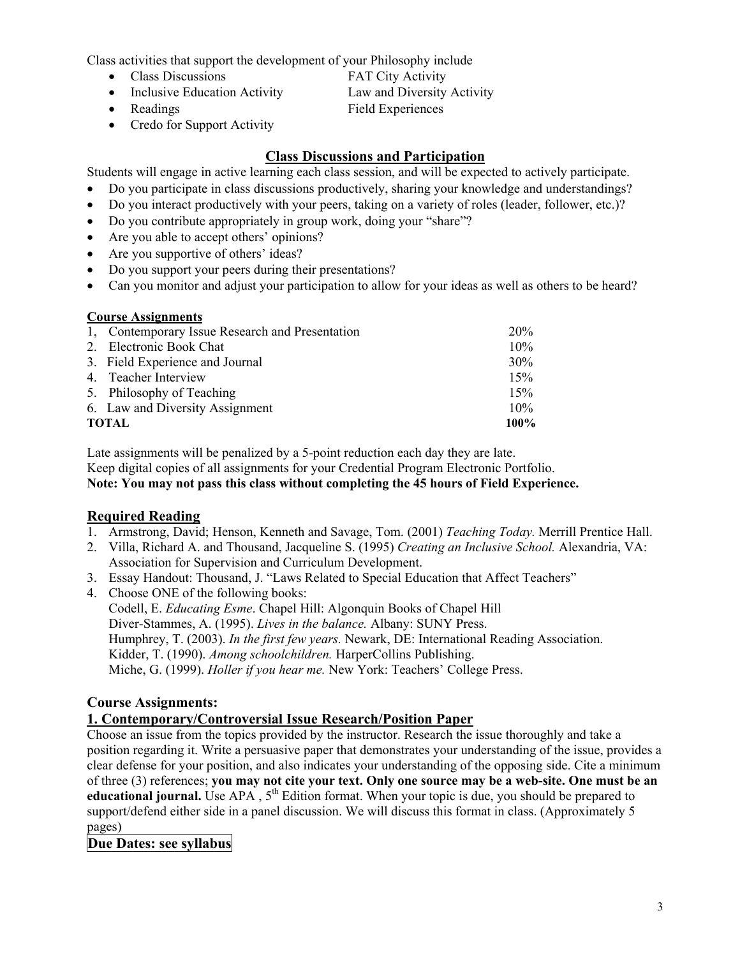Class activities that support the development of your Philosophy include

- Class Discussions **FAT City Activity**
- Inclusive Education Activity Law and Diversity Activity
- 

• Credo for Support Activity

• Readings Field Experiences

## **Class Discussions and Participation**

Students will engage in active learning each class session, and will be expected to actively participate.

- Do you participate in class discussions productively, sharing your knowledge and understandings?
- Do you interact productively with your peers, taking on a variety of roles (leader, follower, etc.)?
- Do you contribute appropriately in group work, doing your "share"?
- Are you able to accept others' opinions?
- Are you supportive of others' ideas?
- Do you support your peers during their presentations?
- Can you monitor and adjust your participation to allow for your ideas as well as others to be heard?

# **Course Assignments**

|       | 1, Contemporary Issue Research and Presentation | 20%    |
|-------|-------------------------------------------------|--------|
|       | 2. Electronic Book Chat                         | $10\%$ |
|       | 3. Field Experience and Journal                 | 30%    |
|       | 4. Teacher Interview                            | 15%    |
|       | 5. Philosophy of Teaching                       | 15%    |
|       | 6. Law and Diversity Assignment                 | 10%    |
| TOTAL |                                                 | 100%   |

Late assignments will be penalized by a 5-point reduction each day they are late. Keep digital copies of all assignments for your Credential Program Electronic Portfolio. **Note: You may not pass this class without completing the 45 hours of Field Experience.**

## **Required Reading**

- 1. Armstrong, David; Henson, Kenneth and Savage, Tom. (2001) *Teaching Today.* Merrill Prentice Hall.
- 2. Villa, Richard A. and Thousand, Jacqueline S. (1995) *Creating an Inclusive School.* Alexandria, VA: Association for Supervision and Curriculum Development.
- 3. Essay Handout: Thousand, J. "Laws Related to Special Education that Affect Teachers"
- 4. Choose ONE of the following books: Codell, E. *Educating Esme*. Chapel Hill: Algonquin Books of Chapel Hill Diver-Stammes, A. (1995). *Lives in the balance.* Albany: SUNY Press. Humphrey, T. (2003). *In the first few years.* Newark, DE: International Reading Association. Kidder, T. (1990). *Among schoolchildren.* HarperCollins Publishing. Miche, G. (1999). *Holler if you hear me.* New York: Teachers' College Press.

## **Course Assignments:**

## **1. Contemporary/Controversial Issue Research/Position Paper**

Choose an issue from the topics provided by the instructor. Research the issue thoroughly and take a position regarding it. Write a persuasive paper that demonstrates your understanding of the issue, provides a clear defense for your position, and also indicates your understanding of the opposing side. Cite a minimum of three (3) references; **you may not cite your text. Only one source may be a web-site. One must be an educational journal.** Use APA,  $5^{th}$  Edition format. When your topic is due, you should be prepared to support/defend either side in a panel discussion. We will discuss this format in class. (Approximately 5 pages)

## **Due Dates: see syllabus**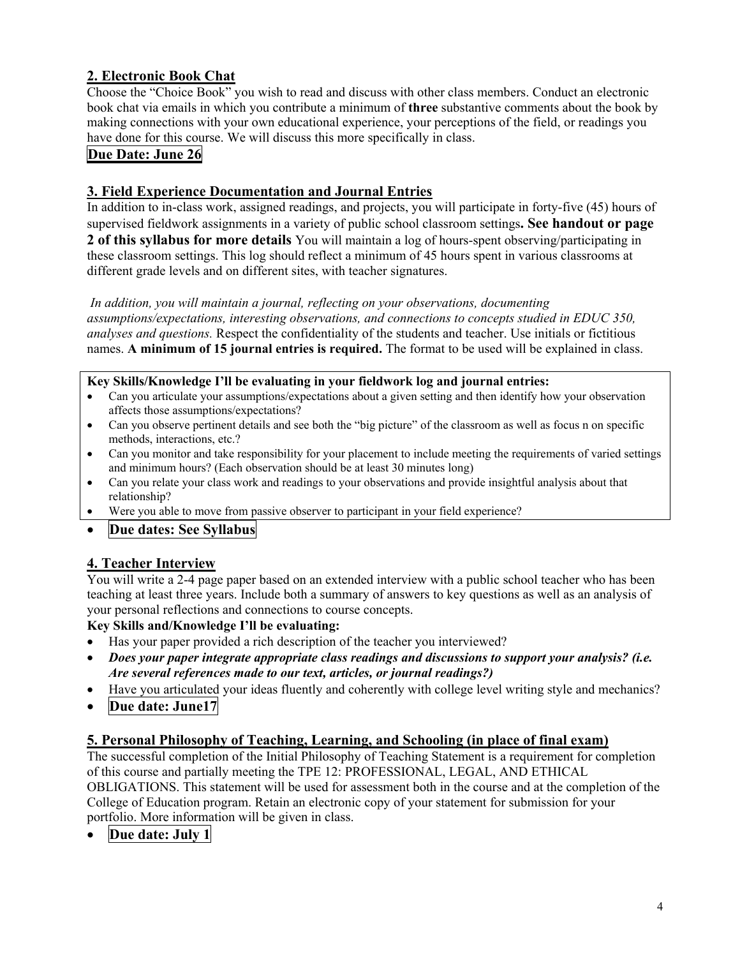## **2. Electronic Book Chat**

Choose the "Choice Book" you wish to read and discuss with other class members. Conduct an electronic book chat via emails in which you contribute a minimum of **three** substantive comments about the book by making connections with your own educational experience, your perceptions of the field, or readings you have done for this course. We will discuss this more specifically in class.

### **Due Date: June 26**

### **3. Field Experience Documentation and Journal Entries**

In addition to in-class work, assigned readings, and projects, you will participate in forty-five (45) hours of supervised fieldwork assignments in a variety of public school classroom settings**. See handout or page 2 of this syllabus for more details** You will maintain a log of hours-spent observing/participating in these classroom settings. This log should reflect a minimum of 45 hours spent in various classrooms at different grade levels and on different sites, with teacher signatures.

*In addition, you will maintain a journal, reflecting on your observations, documenting assumptions/expectations, interesting observations, and connections to concepts studied in EDUC 350, analyses and questions.* Respect the confidentiality of the students and teacher. Use initials or fictitious names. **A minimum of 15 journal entries is required.** The format to be used will be explained in class.

#### **Key Skills/Knowledge I'll be evaluating in your fieldwork log and journal entries:**

- Can you articulate your assumptions/expectations about a given setting and then identify how your observation affects those assumptions/expectations?
- Can you observe pertinent details and see both the "big picture" of the classroom as well as focus n on specific methods, interactions, etc.?
- Can you monitor and take responsibility for your placement to include meeting the requirements of varied settings and minimum hours? (Each observation should be at least 30 minutes long)
- Can you relate your class work and readings to your observations and provide insightful analysis about that relationship?
- Were you able to move from passive observer to participant in your field experience?

#### • **Due dates: See Syllabus**

## **4. Teacher Interview**

You will write a 2-4 page paper based on an extended interview with a public school teacher who has been teaching at least three years. Include both a summary of answers to key questions as well as an analysis of your personal reflections and connections to course concepts.

#### **Key Skills and/Knowledge I'll be evaluating:**

- Has your paper provided a rich description of the teacher you interviewed?
- *Does your paper integrate appropriate class readings and discussions to support your analysis? (i.e. Are several references made to our text, articles, or journal readings?)*
- Have you articulated your ideas fluently and coherently with college level writing style and mechanics?
- **Due date: June17**

#### **5. Personal Philosophy of Teaching, Learning, and Schooling (in place of final exam)**

The successful completion of the Initial Philosophy of Teaching Statement is a requirement for completion of this course and partially meeting the TPE 12: PROFESSIONAL, LEGAL, AND ETHICAL

OBLIGATIONS. This statement will be used for assessment both in the course and at the completion of the College of Education program. Retain an electronic copy of your statement for submission for your portfolio. More information will be given in class.

• **Due date: July 1**